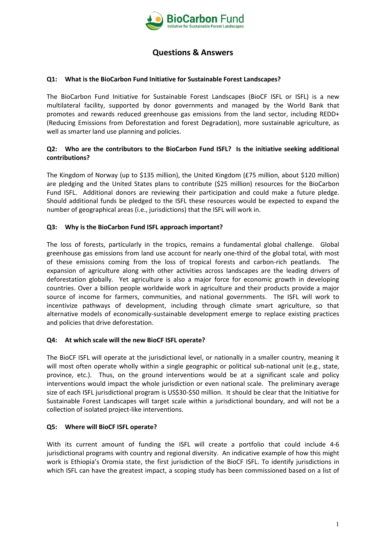

# **Questions & Answers**

#### **Q1: What is the BioCarbon Fund Initiative for Sustainable Forest Landscapes?**

The BioCarbon Fund Initiative for Sustainable Forest Landscapes (BioCF ISFL or ISFL) is a new multilateral facility, supported by donor governments and managed by the World Bank that promotes and rewards reduced greenhouse gas emissions from the land sector, including REDD+ (Reducing Emissions from Deforestation and forest Degradation), more sustainable agriculture, as well as smarter land use planning and policies.

#### **Q2: Who are the contributors to the BioCarbon Fund ISFL? Is the initiative seeking additional contributions?**

The Kingdom of Norway (up to \$135 million), the United Kingdom (£75 million, about \$120 million) are pledging and the United States plans to contribute (\$25 million) resources for the BioCarbon Fund ISFL. Additional donors are reviewing their participation and could make a future pledge. Should additional funds be pledged to the ISFL these resources would be expected to expand the number of geographical areas (i.e., jurisdictions) that the ISFL will work in.

#### **Q3: Why is the BioCarbon Fund ISFL approach important?**

The loss of forests, particularly in the tropics, remains a fundamental global challenge. Global greenhouse gas emissions from land use account for nearly one-third of the global total, with most of these emissions coming from the loss of tropical forests and carbon-rich peatlands. The expansion of agriculture along with other activities across landscapes are the leading drivers of deforestation globally. Yet agriculture is also a major force for economic growth in developing countries. Over a billion people worldwide work in agriculture and their products provide a major source of income for farmers, communities, and national governments. The ISFL will work to incentivize pathways of development, including through climate smart agriculture, so that alternative models of economically-sustainable development emerge to replace existing practices and policies that drive deforestation.

## **Q4: At which scale will the new BioCF ISFL operate?**

The BioCF ISFL will operate at the jurisdictional level, or nationally in a smaller country, meaning it will most often operate wholly within a single geographic or political sub-national unit (e.g., state, province, etc.). Thus, on the ground interventions would be at a significant scale and policy interventions would impact the whole jurisdiction or even national scale. The preliminary average size of each ISFL jurisdictional program is US\$30-\$50 million. It should be clear that the Initiative for Sustainable Forest Landscapes will target scale within a jurisdictional boundary, and will not be a collection of isolated project-like interventions.

#### **Q5: Where will BioCF ISFL operate?**

With its current amount of funding the ISFL will create a portfolio that could include 4-6 jurisdictional programs with country and regional diversity. An indicative example of how this might work is Ethiopia's Oromia state, the first jurisdiction of the BioCF ISFL. To identify jurisdictions in which ISFL can have the greatest impact, a scoping study has been commissioned based on a list of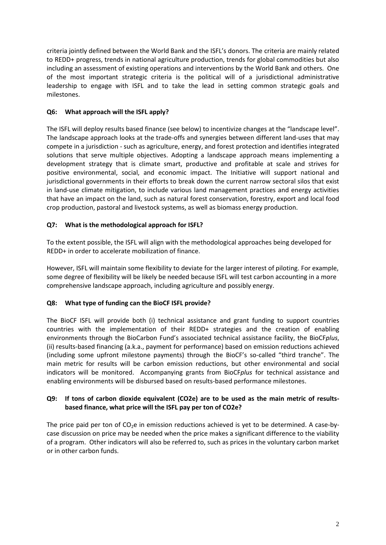criteria jointly defined between the World Bank and the ISFL's donors. The criteria are mainly related to REDD+ progress, trends in national agriculture production, trends for global commodities but also including an assessment of existing operations and interventions by the World Bank and others. One of the most important strategic criteria is the political will of a jurisdictional administrative leadership to engage with ISFL and to take the lead in setting common strategic goals and milestones.

## **Q6: What approach will the ISFL apply?**

The ISFL will deploy results based finance (see below) to incentivize changes at the "landscape level". The landscape approach looks at the trade-offs and synergies between different land-uses that may compete in a jurisdiction - such as agriculture, energy, and forest protection and identifies integrated solutions that serve multiple objectives. Adopting a landscape approach means implementing a development strategy that is climate smart, productive and profitable at scale and strives for positive environmental, social, and economic impact. The Initiative will support national and jurisdictional governments in their efforts to break down the current narrow sectoral silos that exist in land-use climate mitigation, to include various land management practices and energy activities that have an impact on the land, such as natural forest conservation, forestry, export and local food crop production, pastoral and livestock systems, as well as biomass energy production.

# **Q7: What is the methodological approach for ISFL?**

To the extent possible, the ISFL will align with the methodological approaches being developed for REDD+ in order to accelerate mobilization of finance.

However, ISFL will maintain some flexibility to deviate for the larger interest of piloting. For example, some degree of flexibility will be likely be needed because ISFL will test carbon accounting in a more comprehensive landscape approach, including agriculture and possibly energy.

## **Q8: What type of funding can the BioCF ISFL provide?**

The BioCF ISFL will provide both (i) technical assistance and grant funding to support countries countries with the implementation of their REDD+ strategies and the creation of enabling environments through the BioCarbon Fund's associated technical assistance facility, the BioCF*plus*, (ii) results-based financing (a.k.a., payment for performance) based on emission reductions achieved (including some upfront milestone payments) through the BioCF's so-called "third tranche". The main metric for results will be carbon emission reductions, but other environmental and social indicators will be monitored. Accompanying grants from BioCF*plus* for technical assistance and enabling environments will be disbursed based on results-based performance milestones.

## **Q9: If tons of carbon dioxide equivalent (CO2e) are to be used as the main metric of resultsbased finance, what price will the ISFL pay per ton of CO2e?**

The price paid per ton of  $CO<sub>2</sub>e$  in emission reductions achieved is yet to be determined. A case-bycase discussion on price may be needed when the price makes a significant difference to the viability of a program. Other indicators will also be referred to, such as prices in the voluntary carbon market or in other carbon funds.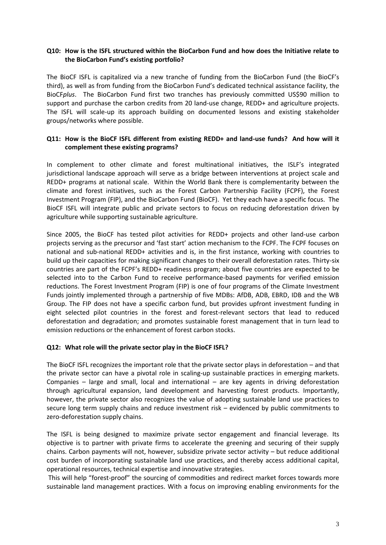## **Q10: How is the ISFL structured within the BioCarbon Fund and how does the Initiative relate to the BioCarbon Fund's existing portfolio?**

The BioCF ISFL is capitalized via a new tranche of funding from the BioCarbon Fund (the BioCF's third), as well as from funding from the BioCarbon Fund's dedicated technical assistance facility, the BioCF*plus*. The BioCarbon Fund first two tranches has previously committed US\$90 million to support and purchase the carbon credits from 20 land-use change, REDD+ and agriculture projects. The ISFL will scale-up its approach building on documented lessons and existing stakeholder groups/networks where possible.

## **Q11: How is the BioCF ISFL different from existing REDD+ and land-use funds? And how will it complement these existing programs?**

In complement to other climate and forest multinational initiatives, the ISLF's integrated jurisdictional landscape approach will serve as a bridge between interventions at project scale and REDD+ programs at national scale. Within the World Bank there is complementarity between the climate and forest initiatives, such as the Forest Carbon Partnership Facility (FCPF), the Forest Investment Program (FIP), and the BioCarbon Fund (BioCF). Yet they each have a specific focus. The BioCF ISFL will integrate public and private sectors to focus on reducing deforestation driven by agriculture while supporting sustainable agriculture.

Since 2005, the BioCF has tested pilot activities for REDD+ projects and other land-use carbon projects serving as the precursor and 'fast start' action mechanism to the FCPF. The FCPF focuses on national and sub-national REDD+ activities and is, in the first instance, working with countries to build up their capacities for making significant changes to their overall deforestation rates. Thirty-six countries are part of the FCPF's REDD+ readiness program; about five countries are expected to be selected into to the Carbon Fund to receive performance-based payments for verified emission reductions. The Forest Investment Program (FIP) is one of four programs of the Climate Investment Funds jointly implemented through a partnership of five MDBs: AfDB, ADB, EBRD, IDB and the WB Group. The FIP does not have a specific carbon fund, but provides upfront investment funding in eight selected pilot countries in the forest and forest-relevant sectors that lead to reduced deforestation and degradation; and promotes sustainable forest management that in turn lead to emission reductions or the enhancement of forest carbon stocks.

#### **Q12: What role will the private sector play in the BioCF ISFL?**

The BioCF ISFL recognizes the important role that the private sector plays in deforestation – and that the private sector can have a pivotal role in scaling-up sustainable practices in emerging markets. Companies – large and small, local and international – are key agents in driving deforestation through agricultural expansion, land development and harvesting forest products. Importantly, however, the private sector also recognizes the value of adopting sustainable land use practices to secure long term supply chains and reduce investment risk – evidenced by public commitments to zero-deforestation supply chains.

The ISFL is being designed to maximize private sector engagement and financial leverage. Its objective is to partner with private firms to accelerate the greening and securing of their supply chains. Carbon payments will not, however, subsidize private sector activity – but reduce additional cost burden of incorporating sustainable land use practices, and thereby access additional capital, operational resources, technical expertise and innovative strategies.

This will help "forest-proof" the sourcing of commodities and redirect market forces towards more sustainable land management practices. With a focus on improving enabling environments for the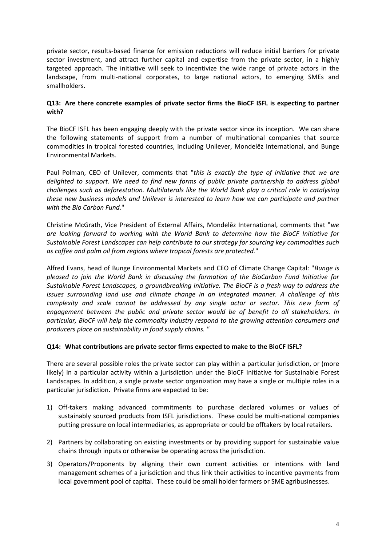private sector, results-based finance for emission reductions will reduce initial barriers for private sector investment, and attract further capital and expertise from the private sector, in a highly targeted approach. The initiative will seek to incentivize the wide range of private actors in the landscape, from multi-national corporates, to large national actors, to emerging SMEs and smallholders.

#### **Q13: Are there concrete examples of private sector firms the BioCF ISFL is expecting to partner with?**

The BioCF ISFL has been engaging deeply with the private sector since its inception. We can share the following statements of support from a number of multinational companies that source commodities in tropical forested countries, including Unilever, Mondelēz International, and Bunge Environmental Markets.

Paul Polman, CEO of Unilever, comments that "*this is exactly the type of initiative that we are delighted to support. We need to find new forms of public private partnership to address global challenges such as deforestation. Multilaterals like the World Bank play a critical role in catalysing these new business models and Unilever is interested to learn how we can participate and partner with the Bio Carbon Fund.*"

Christine McGrath, Vice President of External Affairs, Mondelēz International, comments that "*we are looking forward to working with the World Bank to determine how the BioCF Initiative for Sustainable Forest Landscapes can help contribute to our strategy for sourcing key commodities such as coffee and palm oil from regions where tropical forests are protected.*"

Alfred Evans, head of Bunge Environmental Markets and CEO of Climate Change Capital: "*Bunge is pleased to join the World Bank in discussing the formation of the BioCarbon Fund Initiative for Sustainable Forest Landscapes, a groundbreaking initiative. The BioCF is a fresh way to address the issues surrounding land use and climate change in an integrated manner. A challenge of this complexity and scale cannot be addressed by any single actor or sector. This new form of engagement between the public and private sector would be of benefit to all stakeholders. In particular, BioCF will help the commodity industry respond to the growing attention consumers and producers place on sustainability in food supply chains. "*

#### **Q14: What contributions are private sector firms expected to make to the BioCF ISFL?**

There are several possible roles the private sector can play within a particular jurisdiction, or (more likely) in a particular activity within a jurisdiction under the BioCF Initiative for Sustainable Forest Landscapes. In addition, a single private sector organization may have a single or multiple roles in a particular jurisdiction. Private firms are expected to be:

- 1) Off-takers making advanced commitments to purchase declared volumes or values of sustainably sourced products from ISFL jurisdictions. These could be multi-national companies putting pressure on local intermediaries, as appropriate or could be offtakers by local retailers.
- 2) Partners by collaborating on existing investments or by providing support for sustainable value chains through inputs or otherwise be operating across the jurisdiction.
- 3) Operators/Proponents by aligning their own current activities or intentions with land management schemes of a jurisdiction and thus link their activities to incentive payments from local government pool of capital. These could be small holder farmers or SME agribusinesses.